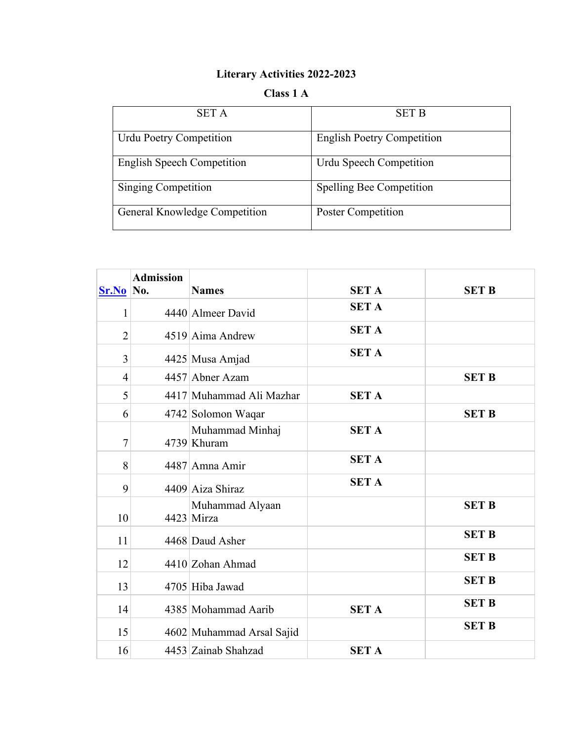## **Literary Activities 2022-2023**

## **Class 1 A**

| <b>SET A</b>                      | <b>SET B</b>                      |
|-----------------------------------|-----------------------------------|
| <b>Urdu Poetry Competition</b>    | <b>English Poetry Competition</b> |
| <b>English Speech Competition</b> | Urdu Speech Competition           |
| Singing Competition               | <b>Spelling Bee Competition</b>   |
| General Knowledge Competition     | <b>Poster Competition</b>         |

| $Sr.No$ No.    | <b>Admission</b> | <b>Names</b>                   | <b>SET A</b> | <b>SET B</b> |
|----------------|------------------|--------------------------------|--------------|--------------|
| 1              |                  | 4440 Almeer David              | <b>SET A</b> |              |
| $\overline{2}$ |                  | 4519 Aima Andrew               | <b>SET A</b> |              |
| 3              |                  | 4425 Musa Amjad                | <b>SET A</b> |              |
| $\overline{4}$ |                  | 4457 Abner Azam                |              | <b>SET B</b> |
| 5              |                  | 4417 Muhammad Ali Mazhar       | <b>SET A</b> |              |
| 6              |                  | 4742 Solomon Waqar             |              | <b>SET B</b> |
| 7              |                  | Muhammad Minhaj<br>4739 Khuram | <b>SET A</b> |              |
| 8              |                  | 4487 Amna Amir                 | <b>SET A</b> |              |
| 9              |                  | 4409 Aiza Shiraz               | <b>SET A</b> |              |
| 10             |                  | Muhammad Alyaan<br>4423 Mirza  |              | <b>SET B</b> |
| 11             |                  | 4468 Daud Asher                |              | <b>SET B</b> |
| 12             |                  | 4410 Zohan Ahmad               |              | <b>SET B</b> |
| 13             |                  | 4705 Hiba Jawad                |              | <b>SET B</b> |
| 14             |                  | 4385 Mohammad Aarib            | <b>SET A</b> | <b>SET B</b> |
| 15             |                  | 4602 Muhammad Arsal Sajid      |              | <b>SET B</b> |
| 16             |                  | 4453 Zainab Shahzad            | <b>SET A</b> |              |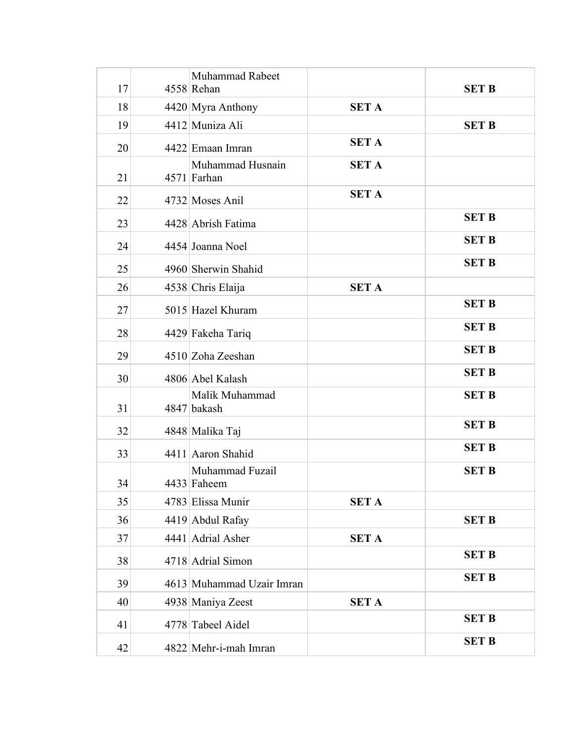| 17 | Muhammad Rabeet<br>4558 Rehan   |              | <b>SET B</b> |
|----|---------------------------------|--------------|--------------|
| 18 | 4420 Myra Anthony               | <b>SET A</b> |              |
| 19 | 4412 Muniza Ali                 |              | <b>SET B</b> |
| 20 | 4422 Emaan Imran                | <b>SET A</b> |              |
| 21 | Muhammad Husnain<br>4571 Farhan | <b>SET A</b> |              |
| 22 | 4732 Moses Anil                 | <b>SET A</b> |              |
| 23 | 4428 Abrish Fatima              |              | <b>SET B</b> |
| 24 | 4454 Joanna Noel                |              | <b>SET B</b> |
| 25 | 4960 Sherwin Shahid             |              | <b>SET B</b> |
| 26 | 4538 Chris Elaija               | <b>SET A</b> |              |
| 27 | 5015 Hazel Khuram               |              | <b>SET B</b> |
| 28 | 4429 Fakeha Tariq               |              | <b>SET B</b> |
| 29 | 4510 Zoha Zeeshan               |              | <b>SET B</b> |
| 30 | 4806 Abel Kalash                |              | <b>SET B</b> |
| 31 | Malik Muhammad<br>4847 bakash   |              | <b>SET B</b> |
| 32 | 4848 Malika Taj                 |              | <b>SET B</b> |
| 33 | 4411 Aaron Shahid               |              | <b>SET B</b> |
| 34 | Muhammad Fuzail<br>4433 Faheem  |              | <b>SET B</b> |
| 35 | 4783 Elissa Munir               | <b>SET A</b> |              |
| 36 | 4419 Abdul Rafay                |              | <b>SET B</b> |
| 37 | 4441 Adrial Asher               | <b>SET A</b> |              |
| 38 | 4718 Adrial Simon               |              | <b>SET B</b> |
| 39 | 4613 Muhammad Uzair Imran       |              | <b>SET B</b> |
| 40 | 4938 Maniya Zeest               | <b>SET A</b> |              |
| 41 | 4778 Tabeel Aidel               |              | <b>SET B</b> |
| 42 | 4822 Mehr-i-mah Imran           |              | <b>SET B</b> |